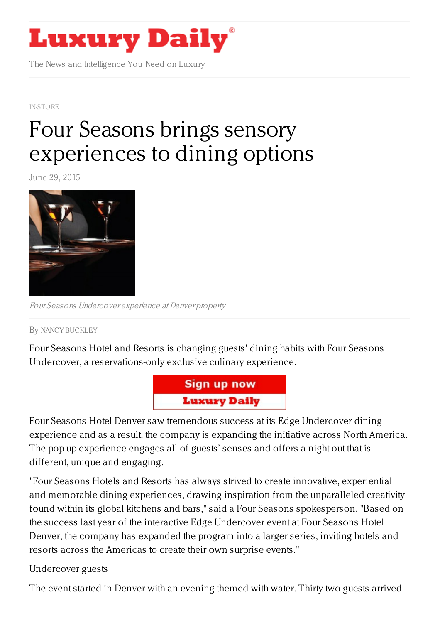## **Luxury Daily**

The News and Intelligence You Need on Luxury

[IN-STORE](https://www.luxurydaily.com/category/news/in-store/)

## Four Seasons brings sensory [experiences](https://www.luxurydaily.com/four-seasons-brings-sensory-experiences-to-dining-options/) to dining options

June 29, 2015



Four Seasons Undercover experience at Denver property

By NANCY [BUCKLEY](/author/nancy-buckley)

Four Seasons Hotel and Resorts is changing guests' dining habits with Four Seasons Undercover, a reservations-only exclusive culinary experience.



Four Seasons Hotel Denver saw tremendous success at its Edge Undercover dining experience and as a result, the company is expanding the initiative across North America. The pop-up experience engages all of guests' senses and offers a night-out that is different, unique and engaging.

"Four Seasons Hotels and Resorts has always strived to create innovative, experiential and memorable dining experiences, drawing inspiration from the unparalleled creativity found within its global kitchens and bars," said a Four Seasons spokesperson. "Based on the success last year of the interactive Edge Undercover event at Four Seasons Hotel Denver, the company has expanded the program into a larger series, inviting hotels and resorts across the Americas to create their own surprise events."

## Undercover guests

The event started in Denver with an evening themed with water. Thirty-two guests arrived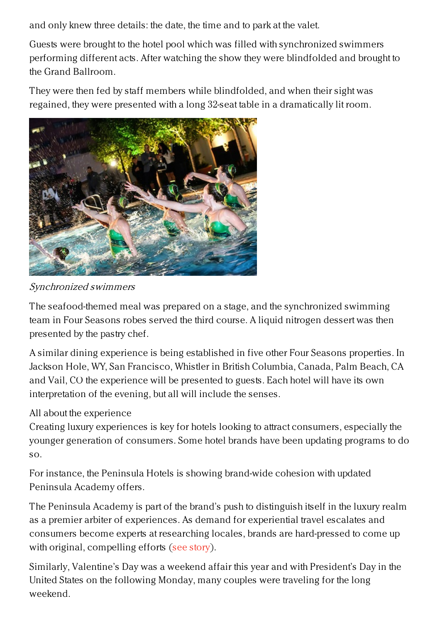and only knew three details: the date, the time and to park at the valet.

Guests were brought to the hotel pool which was filled with synchronized swimmers performing different acts. After watching the show they were blindfolded and brought to the Grand Ballroom.

They were then fed by staff members while blindfolded, and when their sight was regained, they were presented with a long 32-seat table in a dramatically lit room.



Synchronized swimmers

The seafood-themed meal was prepared on a stage, and the synchronized swimming team in Four Seasons robes served the third course. A liquid nitrogen dessert was then presented by the pastry chef.

A similar dining experience is being established in five other Four Seasons properties. In Jackson Hole, WY, San Francisco, Whistler in British Columbia, Canada, Palm Beach, CA and Vail, CO the experience will be presented to guests. Each hotel will have its own interpretation of the evening, but all will include the senses.

## All about the experience

Creating luxury experiences is key for hotels looking to attract consumers, especially the younger generation of consumers. Some hotel brands have been updating programs to do so.

For instance, the Peninsula Hotels is showing brand-wide cohesion with updated Peninsula Academy offers.

The Peninsula Academy is part of the brand's push to distinguish itself in the luxury realm as a premier arbiter of experiences. As demand for experiential travel escalates and consumers become experts at researching locales, brands are hard-pressed to come up with original, compelling efforts (see [story](https://www.luxurydaily.com/peninsula-hotels-rejuvenates-academy-program-to-broadly-engage/)).

Similarly, Valentine's Day was a weekend affair this year and with President's Day in the United States on the following Monday, many couples were traveling for the long weekend.